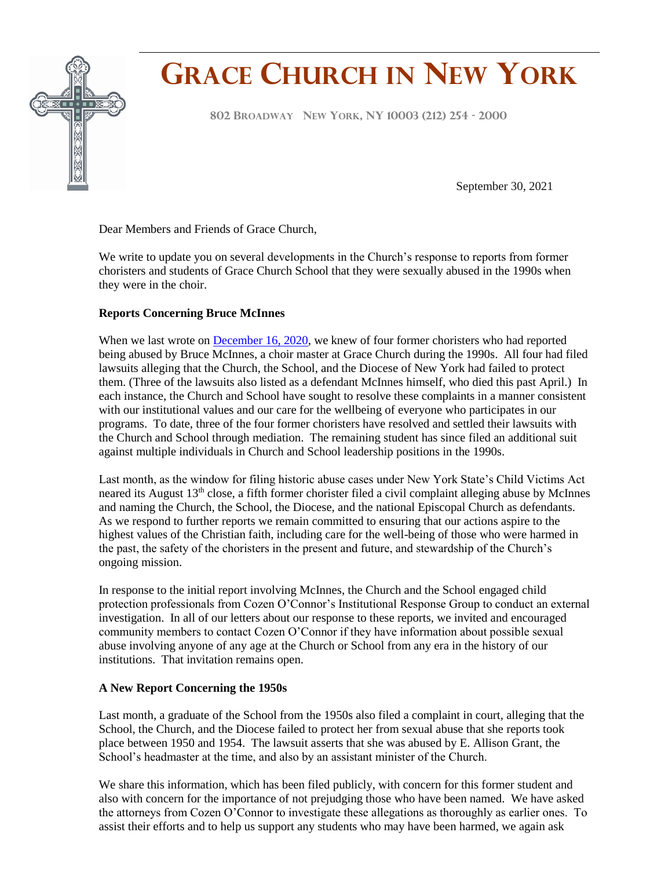

# **GRACE CHURCH IN NEW YORK**

**<sup>802</sup> <sup>B</sup>ROADWAY NEW YORK, NY <sup>10003</sup> (212) <sup>254</sup> - <sup>2000</sup> F**

September 30, 2021

Dear Members and Friends of Grace Church,

We write to update you on several developments in the Church's response to reports from former choristers and students of Grace Church School that they were sexually abused in the 1990s when they were in the choir.

## **Reports Concerning Bruce McInnes**

When we last wrote on [December 16, 2020,](https://conta.cc/3lTSULX) we knew of four former choristers who had reported being abused by Bruce McInnes, a choir master at Grace Church during the 1990s. All four had filed lawsuits alleging that the Church, the School, and the Diocese of New York had failed to protect them. (Three of the lawsuits also listed as a defendant McInnes himself, who died this past April.) In each instance, the Church and School have sought to resolve these complaints in a manner consistent with our institutional values and our care for the wellbeing of everyone who participates in our programs. To date, three of the four former choristers have resolved and settled their lawsuits with the Church and School through mediation. The remaining student has since filed an additional suit against multiple individuals in Church and School leadership positions in the 1990s.

Last month, as the window for filing historic abuse cases under New York State's Child Victims Act neared its August 13<sup>th</sup> close, a fifth former chorister filed a civil complaint alleging abuse by McInnes and naming the Church, the School, the Diocese, and the national Episcopal Church as defendants. As we respond to further reports we remain committed to ensuring that our actions aspire to the highest values of the Christian faith, including care for the well-being of those who were harmed in the past, the safety of the choristers in the present and future, and stewardship of the Church's ongoing mission.

In response to the initial report involving McInnes, the Church and the School engaged child protection professionals from Cozen O'Connor's Institutional Response Group to conduct an external investigation. In all of our letters about our response to these reports, we invited and encouraged community members to contact Cozen O'Connor if they have information about possible sexual abuse involving anyone of any age at the Church or School from any era in the history of our institutions. That invitation remains open.

## **A New Report Concerning the 1950s**

Last month, a graduate of the School from the 1950s also filed a complaint in court, alleging that the School, the Church, and the Diocese failed to protect her from sexual abuse that she reports took place between 1950 and 1954. The lawsuit asserts that she was abused by E. Allison Grant, the School's headmaster at the time, and also by an assistant minister of the Church.

We share this information, which has been filed publicly, with concern for this former student and also with concern for the importance of not prejudging those who have been named. We have asked the attorneys from Cozen O'Connor to investigate these allegations as thoroughly as earlier ones. To assist their efforts and to help us support any students who may have been harmed, we again ask